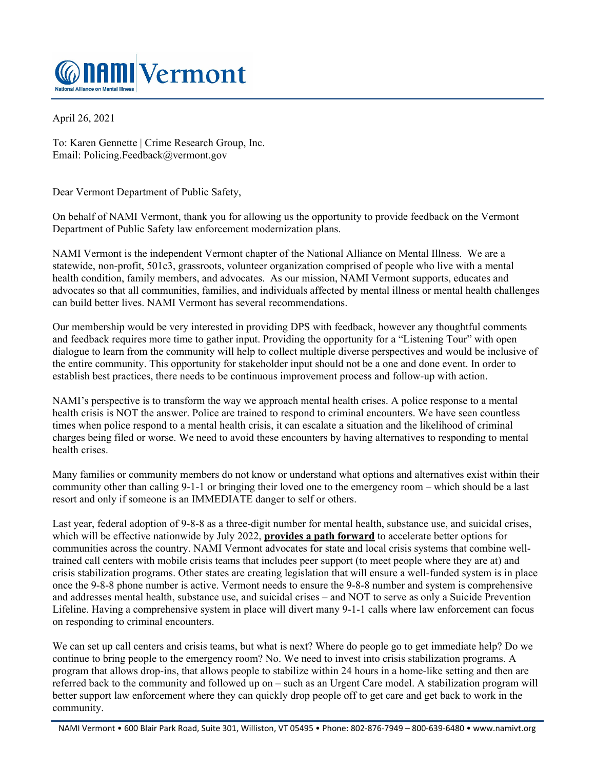

April 26, 2021

To: Karen Gennette | Crime Research Group, Inc. Email: Policing.Feedback@vermont.gov

Dear Vermont Department of Public Safety,

On behalf of NAMI Vermont, thank you for allowing us the opportunity to provide feedback on the Vermont Department of Public Safety law enforcement modernization plans.

NAMI Vermont is the independent Vermont chapter of the National Alliance on Mental Illness. We are a statewide, non-profit, 501c3, grassroots, volunteer organization comprised of people who live with a mental health condition, family members, and advocates. As our mission, NAMI Vermont supports, educates and advocates so that all communities, families, and individuals affected by mental illness or mental health challenges can build better lives. NAMI Vermont has several recommendations.

Our membership would be very interested in providing DPS with feedback, however any thoughtful comments and feedback requires more time to gather input. Providing the opportunity for a "Listening Tour" with open dialogue to learn from the community will help to collect multiple diverse perspectives and would be inclusive of the entire community. This opportunity for stakeholder input should not be a one and done event. In order to establish best practices, there needs to be continuous improvement process and follow-up with action.

NAMI's perspective is to transform the way we approach mental health crises. A police response to a mental health crisis is NOT the answer. Police are trained to respond to criminal encounters. We have seen countless times when police respond to a mental health crisis, it can escalate a situation and the likelihood of criminal charges being filed or worse. We need to avoid these encounters by having alternatives to responding to mental health crises.

Many families or community members do not know or understand what options and alternatives exist within their community other than calling 9-1-1 or bringing their loved one to the emergency room – which should be a last resort and only if someone is an IMMEDIATE danger to self or others.

Last year, federal adoption of 9-8-8 as a three-digit number for mental health, substance use, and suicidal crises, which will be effective nationwide by July 2022, **provides a path forward** to accelerate better options for communities across the country. NAMI Vermont advocates for state and local crisis systems that combine welltrained call centers with mobile crisis teams that includes peer support (to meet people where they are at) and crisis stabilization programs. Other states are creating legislation that will ensure a well-funded system is in place once the 9-8-8 phone number is active. Vermont needs to ensure the 9-8-8 number and system is comprehensive and addresses mental health, substance use, and suicidal crises – and NOT to serve as only a Suicide Prevention Lifeline. Having a comprehensive system in place will divert many 9-1-1 calls where law enforcement can focus on responding to criminal encounters.

We can set up call centers and crisis teams, but what is next? Where do people go to get immediate help? Do we continue to bring people to the emergency room? No. We need to invest into crisis stabilization programs. A program that allows drop-ins, that allows people to stabilize within 24 hours in a home-like setting and then are referred back to the community and followed up on – such as an Urgent Care model. A stabilization program will better support law enforcement where they can quickly drop people off to get care and get back to work in the community.